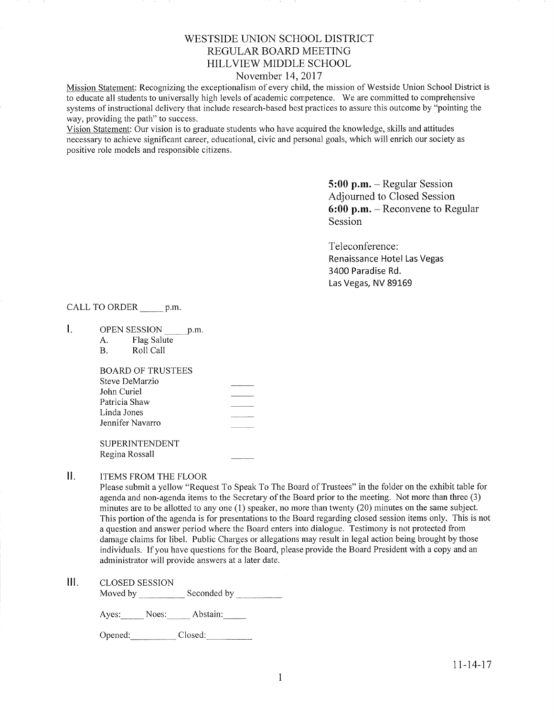# WESTSIDE UNION SCHOOL DISTRICT REGULAR BOARD MEETING HILLVIEW MIDDLE SCHOOL

### November 14,2017

Mission Statement: Recognizing the exceptionalism of every child, the mission of Westside Union School District is to educate all students to universally high levels of academic competence. We are committed to comprehensive systems of instructional delivery that include research-based best practices to assure this outcome by "pointing the way, providing the path" to success.

Vision Statement: Our vision is to graduate students who have acquired the knowledge, skills and attitudes necessary to achieve significant career, educational, civic and personal goals, which will enrich our society as positive role models and responsible citizens.

> 5:00 p.m. - Regular Session Adjourned to Closed Session 6:00 p.m. - Reconvene to Regular Session

Teleconference: Renaissance Hotel Las Vegas 3400 Paradise Rd. Las Vegas, NV 89169

## CALL TO ORDER \_\_\_\_\_\_ p.m.

- Ι. OPEN SESSION p.m
	- A. Flag Salute B. Roll Call
	-

BOARD OF TRUSTEES Steve DeMarzio John Curiel Patricia Shaw Linda Jones Jennifer Navarro

SUPERINTENDENT Regina Rossall

### II. ITEMS FROM THE FLOOR

Please submit a yellow "Request To Speak To The Board of Trustees" in the folder on the exhibit table for agenda and non-agenda items to the Secretary of the Board prior to the meeting. Not more than three (3) minutes are to be allotted to any one (1) speaker, no more than twenty (20) minutes on the same subject. This portion of the agenda is for presentations to the Board regarding closed session items only. This is not a question and answer period where the Board enters into dialogue. Testimony is not protected from damage claims for libel. Public Charges or allegations may result in legal action being brought by those individuals. If you have questions for the Board, please provide the Board President with a copy and an administrator will provide answers at a later date.

CLOSED SESSION  $III.$ 

Moved by \_\_\_\_\_\_\_\_\_\_\_\_\_ Seconded by

Ayes: Noes: Abstain:

Opened: Closed: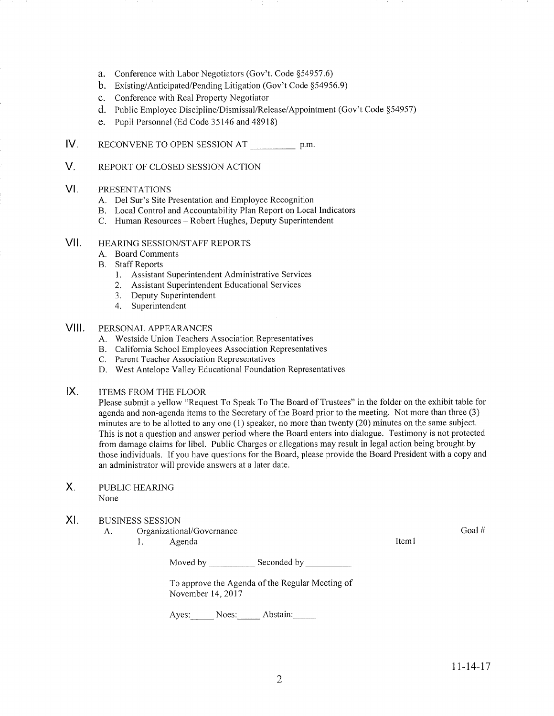- a. Conference with Labor Negotiators (Gov't. Code \$54957.6)
- b. Existing/Anticipated/Pending Litigation (Gov't Code \$54956.9)
- c. Conference with Real Property Negotiator
- d. Public Employee Discipline/Dismissal/Release/Appointment (Gov't Code \$54957)
- e. Pupil Personnel (Ed Code 35746 and 48918)
- IV. RECONVENE TO OPEN SESSION AT p.m.
- V. REPORT OF CLOSED SESSION ACTION

#### VI PRESENTATIONS

- A. Del Sur's Site Presentation and Employee Recognition
- B. Local Control and Accountability Plan Report on Local Indicators C. Human Resources Robert Hughes, Deputy Superintendent
- 

#### HEAzuNG SESSION/STAFF REPORTS vil

- A. Board Comments
- **B.** Staff Reports
	- l. Assistant Superintendent Administrative Services
	- 2. Assistant Superintendent Educational Services
	- 3. Deputy Superintendent 4. Superintendent
	-

#### PERSONAL APPEARANCES VIII.

- A. Westside Union Teachers Association Representatives
- B. California School Employees Association Representatives C. Parent Teacher Association Representatives
- 
- D. West Antelope Valley Educational Foundation Representatives
- ITEMS FROM THE FLOOR  $IX.$

Please submit a yellow "Request To Speak To The Board of Trustees" in the folder on the exhibit table for agenda and non-agenda items to the Secretary of the Board prior to the meeting. Not more than three (3) minutes are to be allotted to any one  $(1)$  speaker, no more than twenty  $(20)$  minutes on the same subject. This is not a question and answer period where the Board enters into dialogue. Testimony is not protected from damage claims for libel. Public Charges or allegations may result in legal action being brought by those individuals. If you have questions for the Board, please provide the Board President with a copy and an administrator will provide answers at a later date.

PUBLIC HEAzuNG None  $X_{1}$ 

#### XI BUSINESS SESSION

- A. Organizational/Governance
	- 1. Agenda

Goal #

Iteml

Moved by Seconded by Seconded by Seconded by Seconded by Seconded by Seconded by Seconded by Seconded by Seconded by Seconded by Seconded by Seconded by Seconded by Seconded by Seconded by Seconded by Seconded by Seconded

To approve the Agenda of the Regular Meeting of November 14,2011

Ayes: Noes: Abstain: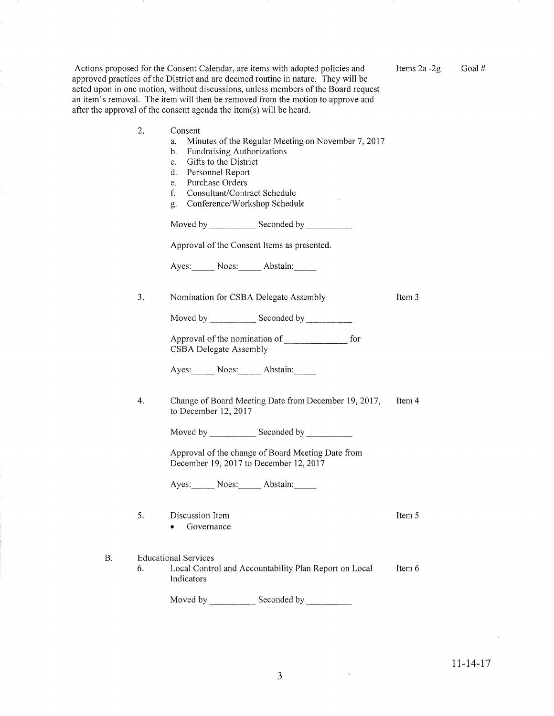| Actions proposed for the Consent Calendar, are items with adopted policies and     |  |
|------------------------------------------------------------------------------------|--|
| approved practices of the District and are deemed routine in nature. They will be  |  |
| acted upon in one motion, without discussions, unless members of the Board request |  |
| an item's removal. The item will then be removed from the motion to approve and    |  |
| after the approval of the consent agenda the item(s) will be heard.                |  |
|                                                                                    |  |

2

Items  $2a - 2g$  Goal #

Item 3

Item 4

Item <sup>5</sup>

| 2. | Consent                                                                                     |  |  |
|----|---------------------------------------------------------------------------------------------|--|--|
|    | Minutes of the Regular Meeting on November 7, 2017<br>a.                                    |  |  |
|    | Fundraising Authorizations<br>b.                                                            |  |  |
|    | Gifts to the District<br>$c_{\cdot}$                                                        |  |  |
|    | d. Personnel Report                                                                         |  |  |
|    | e. Purchase Orders                                                                          |  |  |
|    | f.<br>Consultant/Contract Schedule                                                          |  |  |
|    | Conference/Workshop Schedule<br>g.                                                          |  |  |
|    |                                                                                             |  |  |
|    | Approval of the Consent Items as presented.                                                 |  |  |
|    | Ayes: Noes: Abstain:                                                                        |  |  |
| 3. | Nomination for CSBA Delegate Assembly                                                       |  |  |
|    |                                                                                             |  |  |
|    |                                                                                             |  |  |
|    | for<br><b>CSBA Delegate Assembly</b>                                                        |  |  |
|    | Ayes: Noes: Abstain:                                                                        |  |  |
| 4. | Change of Board Meeting Date from December 19, 2017,<br>to December $12, 2017$              |  |  |
|    |                                                                                             |  |  |
|    | Approval of the change of Board Meeting Date from<br>December 19, 2017 to December 12, 2017 |  |  |

December 19,2011 to December 12,2011

Ayes: Noes: Abstain:

| -5. | Discussion Item |  |
|-----|-----------------|--|
|     | Governance      |  |

4

Item 6 B. Educational Services 6. Local Control and Accountability Plan Report on Local Indicators

Moved by \_\_\_\_\_\_\_\_\_\_\_\_\_\_ Seconded by

 $\sim$ 

 $\sim 30$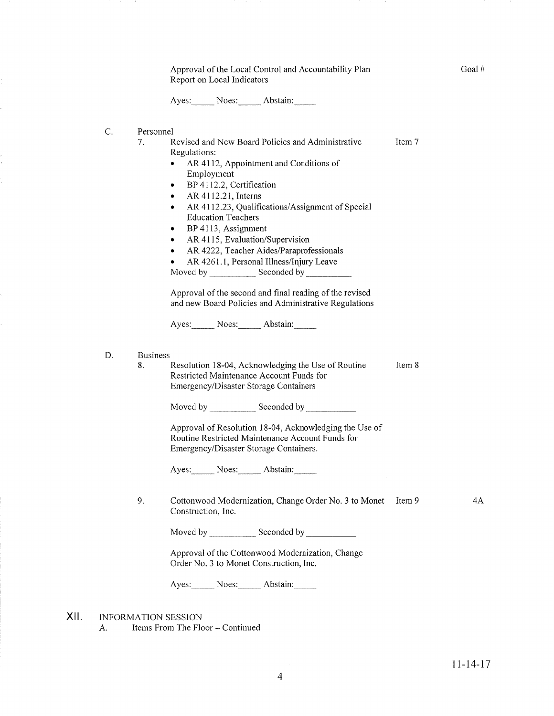Approval of the Local Control and Accountability Plan Reporl on Local Indicators

Ayes: Noes: Abstain:

- C. Personnel
	- Item 7 1. Revised and New Board Policies and Administrative Regulations:
		- o AR 4112, Appointment and Conditions of Employment
		- BP 4112.2, Certification
		- $\bullet$  AR 4112.21, Interns
		- AR 4112.23, Qualifications/Assignment of Special Education Teachers
		- $\bullet$  BP 4113, Assignment
		- AR 4115, Evaluation/Supervision
		- AR 4222, Teacher Aides/Paraprofessionals
		- AR 4261.1, Personal Illness/Injury Leave

Moved by Seconded by Seconded by Seconded by Seconded by Seconded by Seconded by Seconded by Seconded by Seconded by Seconded by Seconded by Seconded by Seconded by Seconded by Seconded by Seconded by Seconded by Seconded

Approval of the second and final reading of the revised and new Board Policies and Administrative Regulations

Ayes: Noes: Abstain:

#### Business D.

Item 8 8. Resolution 18-04, Acknowledging the Use of Routine Restricted Maintenance Account Funds for Emergency/Disaster Storage Containers

Moved by Seconded by Seconded by Seconded by Seconded by Seconded by Seconded by Seconded by Seconded by Seconded by Seconded by Seconded by Seconded by Seconded by Seconded by Seconded by Seconded by Seconded by Seconded

Approval of Resolution 18-04, Acknowledging the Use of Routine Restricted Maintenance Account Funds for Emergency/Disaster Storage Containers.

Ayes: Noes: Abstain:

9. Cottonwood Modernization, Change Order No. 3 to Monet Item 9 Construction, Inc.

Moved by Seconded bv

Approval of the Cottonwood Modernization, Change Order No. 3 to Monet Construction, Inc.

Ayes: Noes: Abstain:

INFORMATION SESSION xil

A. Items From The Floor - Continued

4A

Goal #